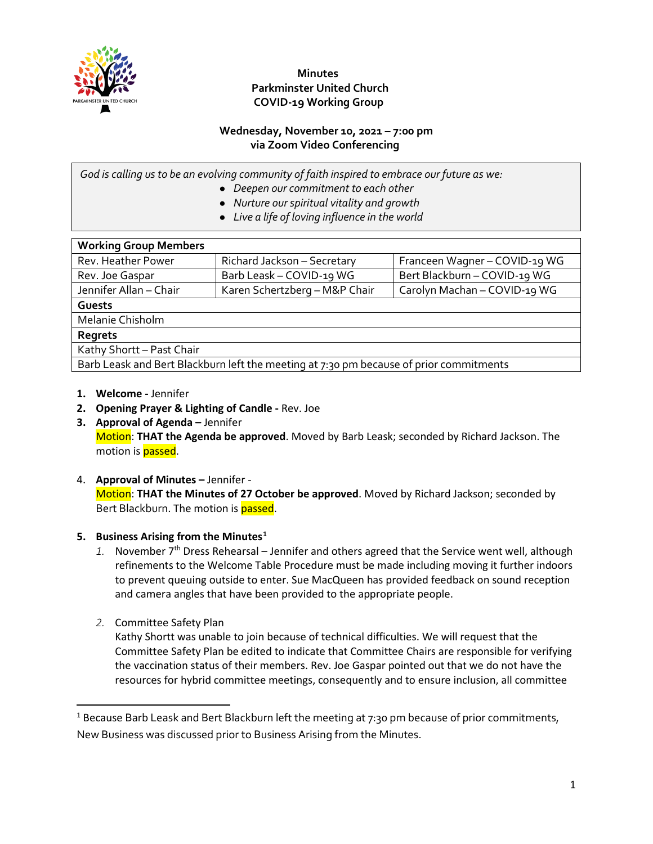

## **Minutes Parkminster United Church COVID-19 Working Group**

#### **Wednesday, November 10, 2021 – 7:00 pm via Zoom Video Conferencing**

*God is calling us to be an evolving community of faith inspired to embrace our future as we:*

- *Deepen our commitment to each other*
- *Nurture our spiritual vitality and growth*
- *Live a life of loving influence in the world*

| <b>Working Group Members</b>                                                           |                               |                               |
|----------------------------------------------------------------------------------------|-------------------------------|-------------------------------|
| Rev. Heather Power                                                                     | Richard Jackson - Secretary   | Franceen Wagner - COVID-19 WG |
| Rev. Joe Gaspar                                                                        | Barb Leask - COVID-19 WG      | Bert Blackburn - COVID-19 WG  |
| Jennifer Allan - Chair                                                                 | Karen Schertzberg - M&P Chair | Carolyn Machan - COVID-19 WG  |
| Guests                                                                                 |                               |                               |
| Melanie Chisholm                                                                       |                               |                               |
| Regrets                                                                                |                               |                               |
| Kathy Shortt - Past Chair                                                              |                               |                               |
| Barb Leask and Bert Blackburn left the meeting at 7:30 pm because of prior commitments |                               |                               |

- **1. Welcome -** Jennifer
- **2. Opening Prayer & Lighting of Candle -** Rev. Joe
- **3. Approval of Agenda –** Jennifer Motion: **THAT the Agenda be approved**. Moved by Barb Leask; seconded by Richard Jackson. The motion is **passed**.
- 4. **Approval of Minutes –** Jennifer Motion: **THAT the Minutes of 27 October be approved**. Moved by Richard Jackson; seconded by Bert Blackburn. The motion is passed.

### **5. Business Arising from the Minutes[1](#page-0-0)**

- 1. November 7<sup>th</sup> Dress Rehearsal Jennifer and others agreed that the Service went well, although refinements to the Welcome Table Procedure must be made including moving it further indoors to prevent queuing outside to enter. Sue MacQueen has provided feedback on sound reception and camera angles that have been provided to the appropriate people.
- *2.* Committee Safety Plan

Kathy Shortt was unable to join because of technical difficulties. We will request that the Committee Safety Plan be edited to indicate that Committee Chairs are responsible for verifying the vaccination status of their members. Rev. Joe Gaspar pointed out that we do not have the resources for hybrid committee meetings, consequently and to ensure inclusion, all committee

<span id="page-0-0"></span><sup>&</sup>lt;sup>1</sup> Because Barb Leask and Bert Blackburn left the meeting at 7:30 pm because of prior commitments, New Business was discussed prior to Business Arising from the Minutes.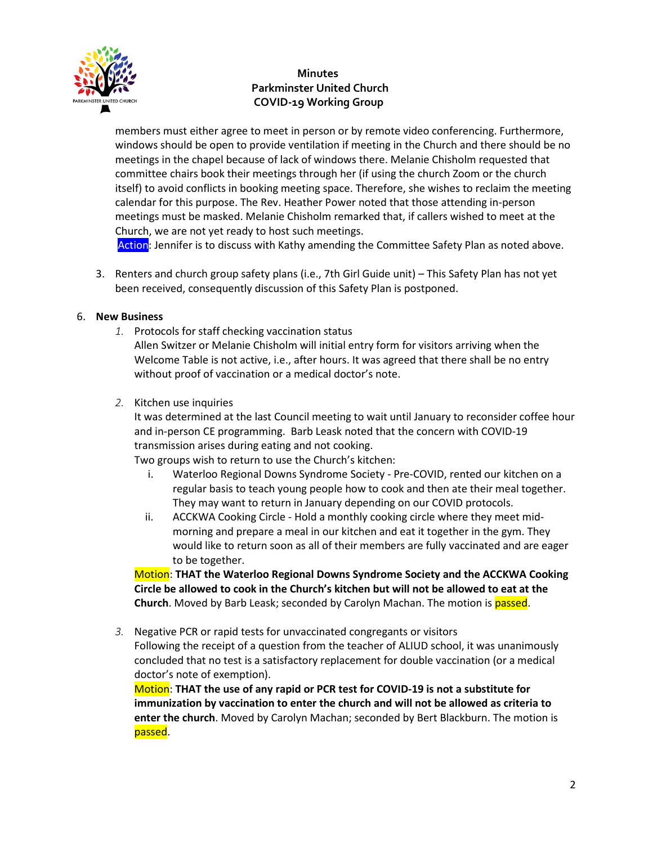

# **Minutes Parkminster United Church COVID-19 Working Group**

members must either agree to meet in person or by remote video conferencing. Furthermore, windows should be open to provide ventilation if meeting in the Church and there should be no meetings in the chapel because of lack of windows there. Melanie Chisholm requested that committee chairs book their meetings through her (if using the church Zoom or the church itself) to avoid conflicts in booking meeting space. Therefore, she wishes to reclaim the meeting calendar for this purpose. The Rev. Heather Power noted that those attending in-person meetings must be masked. Melanie Chisholm remarked that, if callers wished to meet at the Church, we are not yet ready to host such meetings.

Action: Jennifer is to discuss with Kathy amending the Committee Safety Plan as noted above.

3. Renters and church group safety plans (i.e., 7th Girl Guide unit) – This Safety Plan has not yet been received, consequently discussion of this Safety Plan is postponed.

#### 6. **New Business**

- *1.* Protocols for staff checking vaccination status Allen Switzer or Melanie Chisholm will initial entry form for visitors arriving when the Welcome Table is not active, i.e., after hours. It was agreed that there shall be no entry without proof of vaccination or a medical doctor's note.
- *2.* Kitchen use inquiries

It was determined at the last Council meeting to wait until January to reconsider coffee hour and in-person CE programming. Barb Leask noted that the concern with COVID-19 transmission arises during eating and not cooking.

Two groups wish to return to use the Church's kitchen:

- i. Waterloo Regional Downs Syndrome Society Pre-COVID, rented our kitchen on a regular basis to teach young people how to cook and then ate their meal together. They may want to return in January depending on our COVID protocols.
- ii. ACCKWA Cooking Circle Hold a monthly cooking circle where they meet midmorning and prepare a meal in our kitchen and eat it together in the gym. They would like to return soon as all of their members are fully vaccinated and are eager to be together.

Motion: **THAT the Waterloo Regional Downs Syndrome Society and the ACCKWA Cooking Circle be allowed to cook in the Church's kitchen but will not be allowed to eat at the Church**. Moved by Barb Leask; seconded by Carolyn Machan. The motion is passed.

*3.* Negative PCR or rapid tests for unvaccinated congregants or visitors

Following the receipt of a question from the teacher of ALIUD school, it was unanimously concluded that no test is a satisfactory replacement for double vaccination (or a medical doctor's note of exemption).

Motion: **THAT the use of any rapid or PCR test for COVID-19 is not a substitute for immunization by vaccination to enter the church and will not be allowed as criteria to enter the church**. Moved by Carolyn Machan; seconded by Bert Blackburn. The motion is passed.